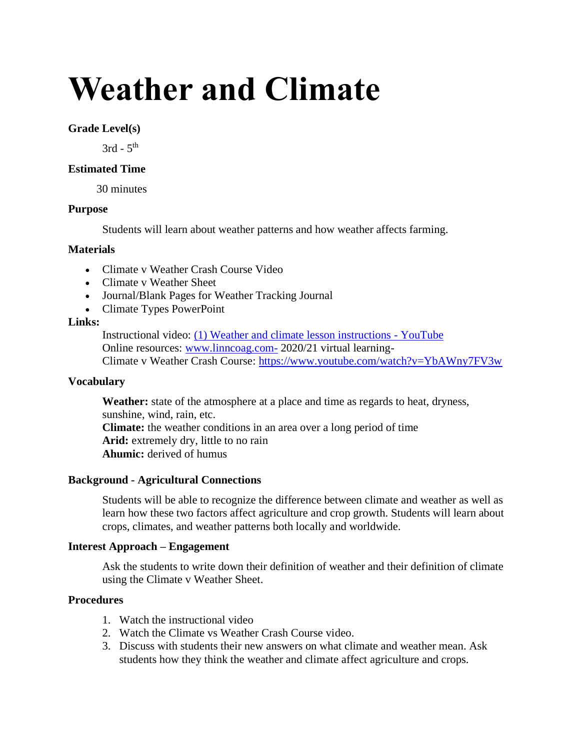# **Weather and Climate**

## **Grade Level(s)**

 $3rd - 5<sup>th</sup>$ 

# **Estimated Time**

30 minutes

### **Purpose**

Students will learn about weather patterns and how weather affects farming.

# **Materials**

- Climate v Weather Crash Course Video
- Climate v Weather Sheet
- Journal/Blank Pages for Weather Tracking Journal
- Climate Types PowerPoint

### **Links:**

Instructional video: [\(1\) Weather and climate lesson instructions -](https://www.youtube.com/watch?v=Y_ExBj0vlkg) YouTube Online resources: [www.linncoag.com-](http://www.linncoag.com-/) 2020/21 virtual learning-Climate v Weather Crash Course:<https://www.youtube.com/watch?v=YbAWny7FV3w>

### **Vocabulary**

**Weather:** state of the atmosphere at a place and time as regards to heat, dryness, sunshine, wind, rain, etc. **Climate:** the weather conditions in an area over a long period of time **Arid:** extremely dry, little to no rain **Ahumic:** derived of humus

### **Background - Agricultural Connections**

Students will be able to recognize the difference between climate and weather as well as learn how these two factors affect agriculture and crop growth. Students will learn about crops, climates, and weather patterns both locally and worldwide.

# **Interest Approach – Engagement**

Ask the students to write down their definition of weather and their definition of climate using the Climate v Weather Sheet.

## **Procedures**

- 1. Watch the instructional video
- 2. Watch the Climate vs Weather Crash Course video.
- 3. Discuss with students their new answers on what climate and weather mean. Ask students how they think the weather and climate affect agriculture and crops.